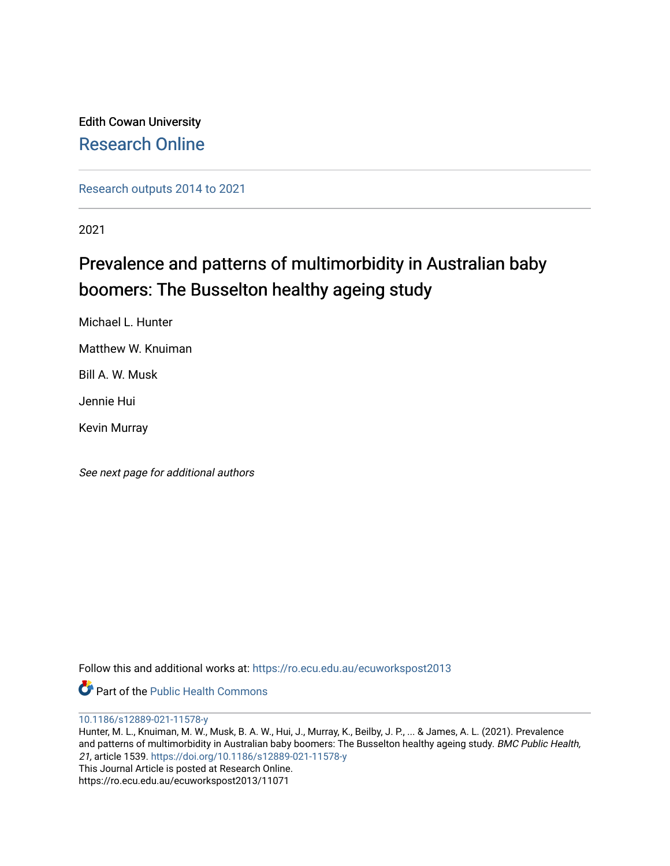Edith Cowan University [Research Online](https://ro.ecu.edu.au/) 

[Research outputs 2014 to 2021](https://ro.ecu.edu.au/ecuworkspost2013) 

2021

## Prevalence and patterns of multimorbidity in Australian baby boomers: The Busselton healthy ageing study

Michael L. Hunter

Matthew W. Knuiman

Bill A. W. Musk

Jennie Hui

Kevin Murray

See next page for additional authors

Follow this and additional works at: [https://ro.ecu.edu.au/ecuworkspost2013](https://ro.ecu.edu.au/ecuworkspost2013?utm_source=ro.ecu.edu.au%2Fecuworkspost2013%2F11071&utm_medium=PDF&utm_campaign=PDFCoverPages) 

Part of the [Public Health Commons](http://network.bepress.com/hgg/discipline/738?utm_source=ro.ecu.edu.au%2Fecuworkspost2013%2F11071&utm_medium=PDF&utm_campaign=PDFCoverPages) 

[10.1186/s12889-021-11578-y](http://dx.doi.org/10.1186/s12889-021-11578-y)

Hunter, M. L., Knuiman, M. W., Musk, B. A. W., Hui, J., Murray, K., Beilby, J. P., ... & James, A. L. (2021). Prevalence and patterns of multimorbidity in Australian baby boomers: The Busselton healthy ageing study. BMC Public Health, 21, article 1539.<https://doi.org/10.1186/s12889-021-11578-y> This Journal Article is posted at Research Online.

https://ro.ecu.edu.au/ecuworkspost2013/11071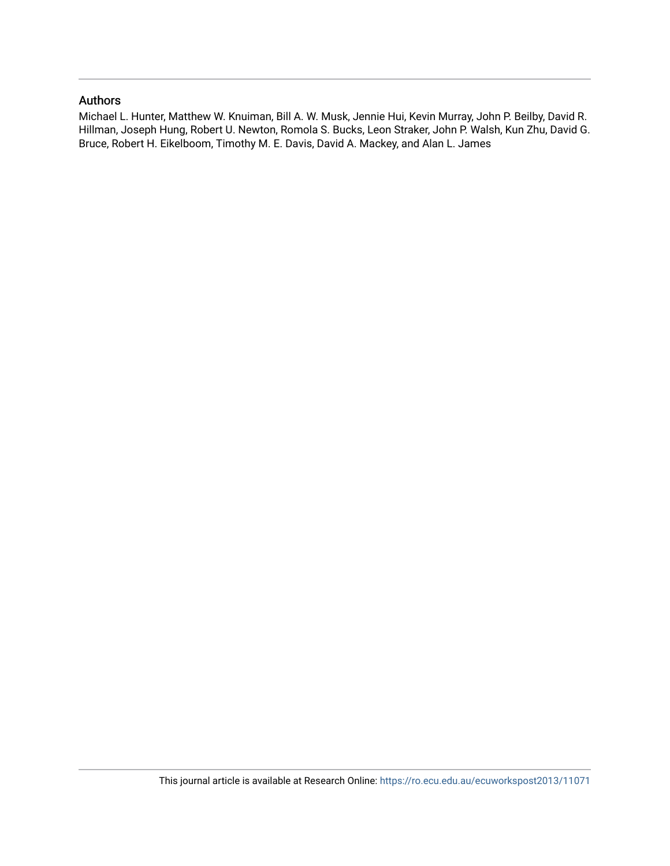## Authors

Michael L. Hunter, Matthew W. Knuiman, Bill A. W. Musk, Jennie Hui, Kevin Murray, John P. Beilby, David R. Hillman, Joseph Hung, Robert U. Newton, Romola S. Bucks, Leon Straker, John P. Walsh, Kun Zhu, David G. Bruce, Robert H. Eikelboom, Timothy M. E. Davis, David A. Mackey, and Alan L. James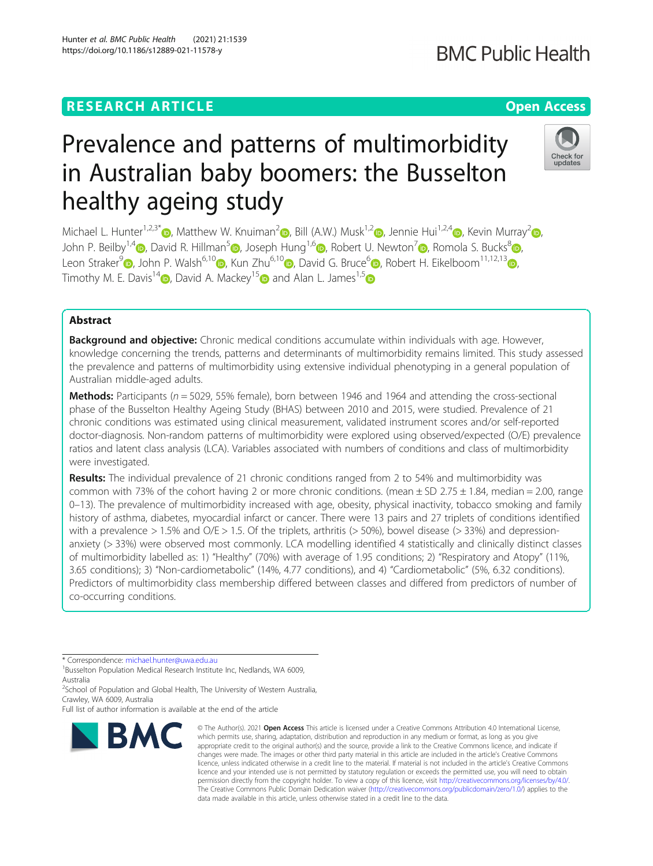## **RESEARCH ARTICLE Example 2014 12:30 The Contract of Contract ACCESS**

# Prevalence and patterns of multimorbidity in Australian baby boomers: the Busselton healthy ageing study

Michael L. Hunter<sup>1,2,3[\\*](http://orcid.org/0000-0001-6704-4815)</sup> , Matthew W. Knuiman<sup>[2](https://orcid.org/0000-0001-8874-2305)</sup> [,](https://orcid.org/0000-0002-8856-6046) Bill (A.W.) Musk<sup>1,2</sup> , Jennie Hui<sup>1,2,4</sup> , Kevin Murray<sup>2</sup> , John P. Beilby<sup>1[,](https://orcid.org/0000-0002-4207-4724)4</sup>  $\odot$ , David R. Hillman<sup>[5](https://orcid.org/0000-0001-9987-539X)</sup>  $\odot$ , Joseph Hung<sup>1,[6](https://orcid.org/0000-0002-4468-6097)</sup>  $\odot$ , Robert U. Newton<sup>[7](https://orcid.org/0000-0003-0302-6129)</sup>  $\odot$ , Romola S. Bucks<sup>8</sup>  $\odot$ , Leon Straker<sup>[9](https://orcid.org/0000-0002-7786-4128)</sup> [,](https://orcid.org/0000-0003-2911-5381) John P. Walsh<sup>[6](https://orcid.org/0000-0002-9979-6867),10</sup> , Kun Zhu<sup>6,10</sup> , David G. Bruce<sup>6</sup> , Robert H. Eikelboom<sup>11,12,13</sup> , Timothy M. E. Davis<sup>1[4](https://orcid.org/0000-0003-0749-7411)</sup> D. David A. Mackey<sup>1[5](https://orcid.org/0000-0002-6018-0547)</sup> and Alan L. James<sup>1,5</sup> D

## Abstract

Background and objective: Chronic medical conditions accumulate within individuals with age. However, knowledge concerning the trends, patterns and determinants of multimorbidity remains limited. This study assessed the prevalence and patterns of multimorbidity using extensive individual phenotyping in a general population of Australian middle-aged adults.

**Methods:** Participants ( $n = 5029$ , 55% female), born between 1946 and 1964 and attending the cross-sectional phase of the Busselton Healthy Ageing Study (BHAS) between 2010 and 2015, were studied. Prevalence of 21 chronic conditions was estimated using clinical measurement, validated instrument scores and/or self-reported doctor-diagnosis. Non-random patterns of multimorbidity were explored using observed/expected (O/E) prevalence ratios and latent class analysis (LCA). Variables associated with numbers of conditions and class of multimorbidity were investigated.

Results: The individual prevalence of 21 chronic conditions ranged from 2 to 54% and multimorbidity was common with 73% of the cohort having 2 or more chronic conditions. (mean  $\pm$  SD 2.75  $\pm$  1.84, median = 2.00, range 0–13). The prevalence of multimorbidity increased with age, obesity, physical inactivity, tobacco smoking and family history of asthma, diabetes, myocardial infarct or cancer. There were 13 pairs and 27 triplets of conditions identified with a prevalence  $> 1.5\%$  and O/E  $> 1.5$ . Of the triplets, arthritis ( $> 50\%$ ), bowel disease ( $> 33\%$ ) and depressionanxiety (> 33%) were observed most commonly. LCA modelling identified 4 statistically and clinically distinct classes of multimorbidity labelled as: 1) "Healthy" (70%) with average of 1.95 conditions; 2) "Respiratory and Atopy" (11%, 3.65 conditions); 3) "Non-cardiometabolic" (14%, 4.77 conditions), and 4) "Cardiometabolic" (5%, 6.32 conditions). Predictors of multimorbidity class membership differed between classes and differed from predictors of number of co-occurring conditions.

data made available in this article, unless otherwise stated in a credit line to the data.

© The Author(s), 2021 **Open Access** This article is licensed under a Creative Commons Attribution 4.0 International License, which permits use, sharing, adaptation, distribution and reproduction in any medium or format, as long as you give

The Creative Commons Public Domain Dedication waiver [\(http://creativecommons.org/publicdomain/zero/1.0/](http://creativecommons.org/publicdomain/zero/1.0/)) applies to the

\* Correspondence: [michael.hunter@uwa.edu.au](mailto:michael.hunter@uwa.edu.au) <sup>1</sup>

**BMC** 

<sup>1</sup>Busselton Population Medical Research Institute Inc, Nedlands, WA 6009, Australia

<sup>2</sup>School of Population and Global Health, The University of Western Australia, Crawley, WA 6009, Australia

Full list of author information is available at the end of the article





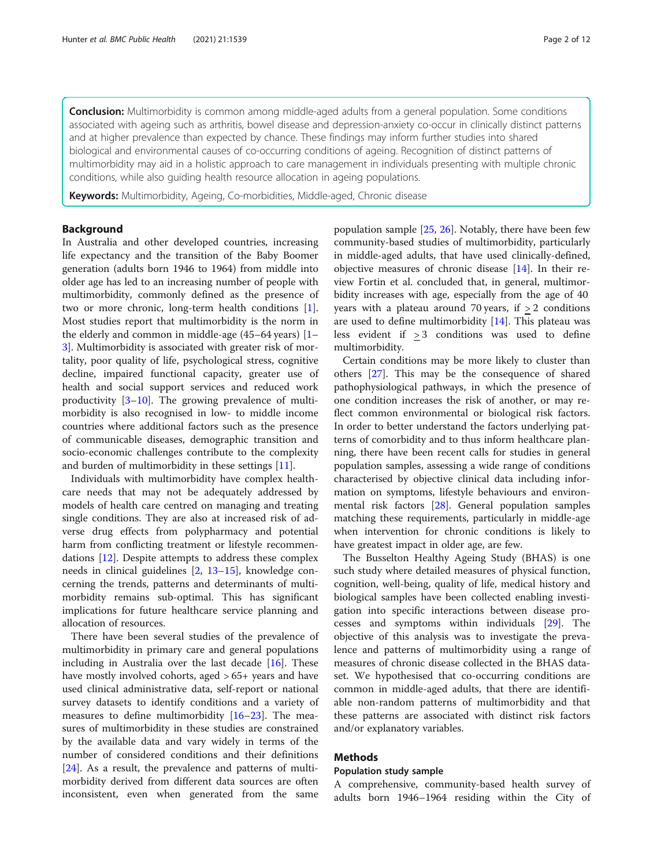**Conclusion:** Multimorbidity is common among middle-aged adults from a general population. Some conditions associated with ageing such as arthritis, bowel disease and depression-anxiety co-occur in clinically distinct patterns and at higher prevalence than expected by chance. These findings may inform further studies into shared biological and environmental causes of co-occurring conditions of ageing. Recognition of distinct patterns of multimorbidity may aid in a holistic approach to care management in individuals presenting with multiple chronic conditions, while also guiding health resource allocation in ageing populations.

Keywords: Multimorbidity, Ageing, Co-morbidities, Middle-aged, Chronic disease

#### Background

In Australia and other developed countries, increasing life expectancy and the transition of the Baby Boomer generation (adults born 1946 to 1964) from middle into older age has led to an increasing number of people with multimorbidity, commonly defined as the presence of two or more chronic, long-term health conditions [\[1](#page-11-0)]. Most studies report that multimorbidity is the norm in the elderly and common in middle-age (45–64 years) [[1](#page-11-0)– [3\]](#page-11-0). Multimorbidity is associated with greater risk of mortality, poor quality of life, psychological stress, cognitive decline, impaired functional capacity, greater use of health and social support services and reduced work productivity [\[3](#page-11-0)–[10\]](#page-12-0). The growing prevalence of multimorbidity is also recognised in low- to middle income countries where additional factors such as the presence of communicable diseases, demographic transition and socio-economic challenges contribute to the complexity and burden of multimorbidity in these settings [\[11](#page-12-0)].

Individuals with multimorbidity have complex healthcare needs that may not be adequately addressed by models of health care centred on managing and treating single conditions. They are also at increased risk of adverse drug effects from polypharmacy and potential harm from conflicting treatment or lifestyle recommendations [\[12\]](#page-12-0). Despite attempts to address these complex needs in clinical guidelines [[2,](#page-11-0) [13](#page-12-0)–[15\]](#page-12-0), knowledge concerning the trends, patterns and determinants of multimorbidity remains sub-optimal. This has significant implications for future healthcare service planning and allocation of resources.

There have been several studies of the prevalence of multimorbidity in primary care and general populations including in Australia over the last decade [[16](#page-12-0)]. These have mostly involved cohorts, aged > 65+ years and have used clinical administrative data, self-report or national survey datasets to identify conditions and a variety of measures to define multimorbidity [[16](#page-12-0)–[23](#page-12-0)]. The measures of multimorbidity in these studies are constrained by the available data and vary widely in terms of the number of considered conditions and their definitions [[24\]](#page-12-0). As a result, the prevalence and patterns of multimorbidity derived from different data sources are often inconsistent, even when generated from the same

population sample  $[25, 26]$  $[25, 26]$  $[25, 26]$  $[25, 26]$ . Notably, there have been few community-based studies of multimorbidity, particularly in middle-aged adults, that have used clinically-defined, objective measures of chronic disease [[14\]](#page-12-0). In their review Fortin et al. concluded that, in general, multimorbidity increases with age, especially from the age of 40 years with a plateau around 70 years, if  $> 2$  conditions are used to define multimorbidity [[14\]](#page-12-0). This plateau was less evident if > 3 conditions was used to define multimorbidity.

Certain conditions may be more likely to cluster than others [\[27\]](#page-12-0). This may be the consequence of shared pathophysiological pathways, in which the presence of one condition increases the risk of another, or may reflect common environmental or biological risk factors. In order to better understand the factors underlying patterns of comorbidity and to thus inform healthcare planning, there have been recent calls for studies in general population samples, assessing a wide range of conditions characterised by objective clinical data including information on symptoms, lifestyle behaviours and environmental risk factors [[28](#page-12-0)]. General population samples matching these requirements, particularly in middle-age when intervention for chronic conditions is likely to have greatest impact in older age, are few.

The Busselton Healthy Ageing Study (BHAS) is one such study where detailed measures of physical function, cognition, well-being, quality of life, medical history and biological samples have been collected enabling investigation into specific interactions between disease processes and symptoms within individuals [\[29\]](#page-12-0). The objective of this analysis was to investigate the prevalence and patterns of multimorbidity using a range of measures of chronic disease collected in the BHAS dataset. We hypothesised that co-occurring conditions are common in middle-aged adults, that there are identifiable non-random patterns of multimorbidity and that these patterns are associated with distinct risk factors and/or explanatory variables.

#### Methods

#### Population study sample

A comprehensive, community-based health survey of adults born 1946–1964 residing within the City of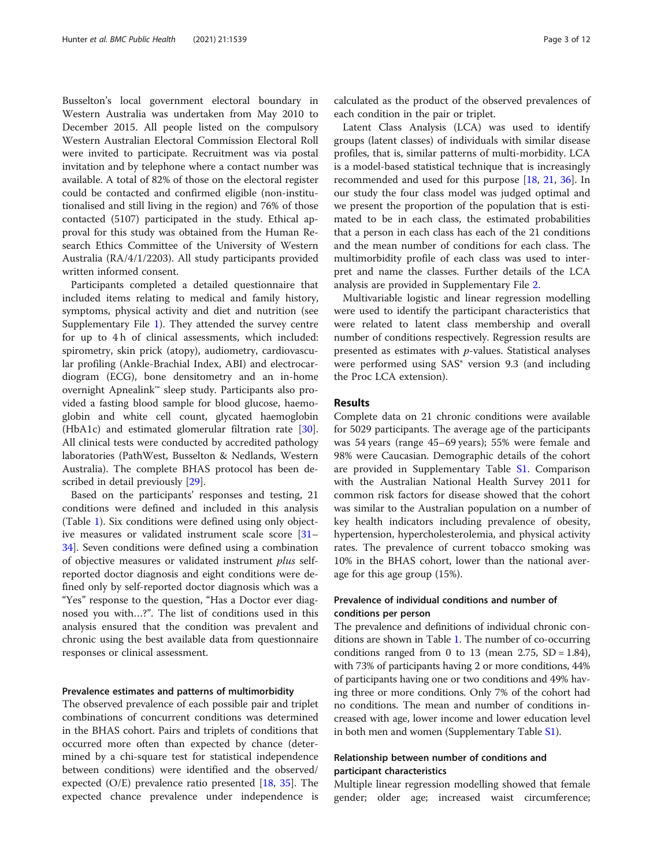Busselton's local government electoral boundary in Western Australia was undertaken from May 2010 to December 2015. All people listed on the compulsory Western Australian Electoral Commission Electoral Roll were invited to participate. Recruitment was via postal invitation and by telephone where a contact number was available. A total of 82% of those on the electoral register could be contacted and confirmed eligible (non-institutionalised and still living in the region) and 76% of those contacted (5107) participated in the study. Ethical approval for this study was obtained from the Human Research Ethics Committee of the University of Western Australia (RA/4/1/2203). All study participants provided written informed consent.

Participants completed a detailed questionnaire that included items relating to medical and family history, symptoms, physical activity and diet and nutrition (see Supplementary File [1](#page-11-0)). They attended the survey centre for up to 4 h of clinical assessments, which included: spirometry, skin prick (atopy), audiometry, cardiovascular profiling (Ankle-Brachial Index, ABI) and electrocardiogram (ECG), bone densitometry and an in-home overnight Apnealink™ sleep study. Participants also provided a fasting blood sample for blood glucose, haemoglobin and white cell count, glycated haemoglobin (HbA1c) and estimated glomerular filtration rate [\[30](#page-12-0)]. All clinical tests were conducted by accredited pathology laboratories (PathWest, Busselton & Nedlands, Western Australia). The complete BHAS protocol has been described in detail previously [[29](#page-12-0)].

Based on the participants' responses and testing, 21 conditions were defined and included in this analysis (Table [1\)](#page-5-0). Six conditions were defined using only objective measures or validated instrument scale score [[31](#page-12-0)– [34\]](#page-12-0). Seven conditions were defined using a combination of objective measures or validated instrument plus selfreported doctor diagnosis and eight conditions were defined only by self-reported doctor diagnosis which was a "Yes" response to the question, "Has a Doctor ever diagnosed you with…?". The list of conditions used in this analysis ensured that the condition was prevalent and chronic using the best available data from questionnaire responses or clinical assessment.

#### Prevalence estimates and patterns of multimorbidity

The observed prevalence of each possible pair and triplet combinations of concurrent conditions was determined in the BHAS cohort. Pairs and triplets of conditions that occurred more often than expected by chance (determined by a chi-square test for statistical independence between conditions) were identified and the observed/ expected  $(O/E)$  prevalence ratio presented [[18,](#page-12-0) [35](#page-12-0)]. The expected chance prevalence under independence is calculated as the product of the observed prevalences of each condition in the pair or triplet.

Latent Class Analysis (LCA) was used to identify groups (latent classes) of individuals with similar disease profiles, that is, similar patterns of multi-morbidity. LCA is a model-based statistical technique that is increasingly recommended and used for this purpose [\[18](#page-12-0), [21,](#page-12-0) [36](#page-12-0)]. In our study the four class model was judged optimal and we present the proportion of the population that is estimated to be in each class, the estimated probabilities that a person in each class has each of the 21 conditions and the mean number of conditions for each class. The multimorbidity profile of each class was used to interpret and name the classes. Further details of the LCA analysis are provided in Supplementary File [2.](#page-11-0)

Multivariable logistic and linear regression modelling were used to identify the participant characteristics that were related to latent class membership and overall number of conditions respectively. Regression results are presented as estimates with  $p$ -values. Statistical analyses were performed using SAS® version 9.3 (and including the Proc LCA extension).

#### Results

Complete data on 21 chronic conditions were available for 5029 participants. The average age of the participants was 54 years (range 45–69 years); 55% were female and 98% were Caucasian. Demographic details of the cohort are provided in Supplementary Table [S1](#page-11-0). Comparison with the Australian National Health Survey 2011 for common risk factors for disease showed that the cohort was similar to the Australian population on a number of key health indicators including prevalence of obesity, hypertension, hypercholesterolemia, and physical activity rates. The prevalence of current tobacco smoking was 10% in the BHAS cohort, lower than the national average for this age group (15%).

#### Prevalence of individual conditions and number of conditions per person

The prevalence and definitions of individual chronic conditions are shown in Table [1.](#page-5-0) The number of co-occurring conditions ranged from 0 to 13 (mean  $2.75$ , SD = 1.84), with 73% of participants having 2 or more conditions, 44% of participants having one or two conditions and 49% having three or more conditions. Only 7% of the cohort had no conditions. The mean and number of conditions increased with age, lower income and lower education level in both men and women (Supplementary Table [S1\)](#page-11-0).

### Relationship between number of conditions and participant characteristics

Multiple linear regression modelling showed that female gender; older age; increased waist circumference;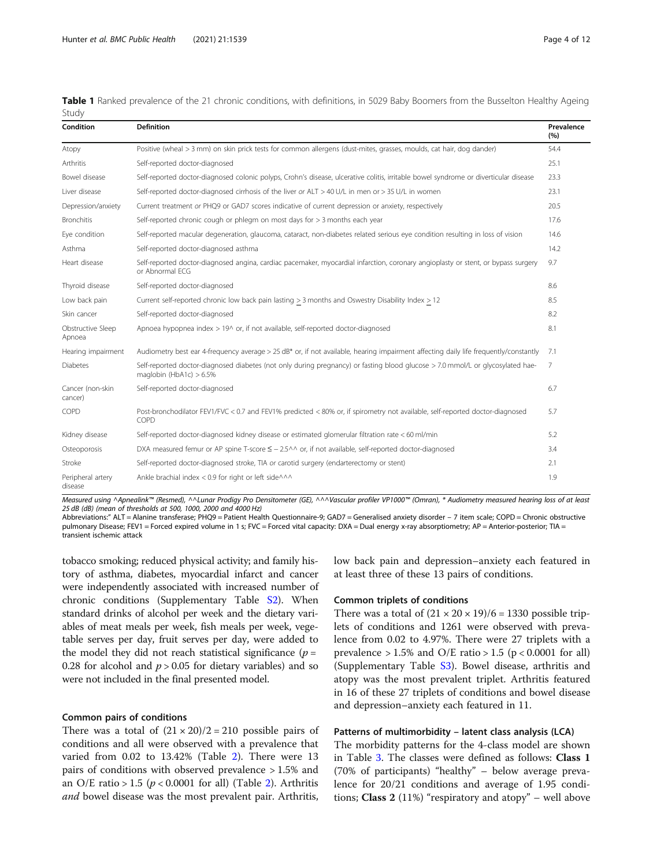| Condition                    | <b>Definition</b>                                                                                                                                            | Prevalence<br>(%) |
|------------------------------|--------------------------------------------------------------------------------------------------------------------------------------------------------------|-------------------|
| Atopy                        | Positive (wheal > 3 mm) on skin prick tests for common allergens (dust-mites, grasses, moulds, cat hair, dog dander)                                         | 54.4              |
| Arthritis                    | Self-reported doctor-diagnosed                                                                                                                               | 25.1              |
| Bowel disease                | Self-reported doctor-diagnosed colonic polyps, Crohn's disease, ulcerative colitis, irritable bowel syndrome or diverticular disease                         | 23.3              |
| Liver disease                | Self-reported doctor-diagnosed cirrhosis of the liver or ALT > 40 U/L in men or > 35 U/L in women                                                            | 23.1              |
| Depression/anxiety           | Current treatment or PHQ9 or GAD7 scores indicative of current depression or anxiety, respectively                                                           | 20.5              |
| <b>Bronchitis</b>            | Self-reported chronic cough or phlegm on most days for > 3 months each year                                                                                  | 17.6              |
| Eye condition                | Self-reported macular degeneration, glaucoma, cataract, non-diabetes related serious eye condition resulting in loss of vision                               | 14.6              |
| Asthma                       | Self-reported doctor-diagnosed asthma                                                                                                                        | 14.2              |
| Heart disease                | Self-reported doctor-diagnosed angina, cardiac pacemaker, myocardial infarction, coronary angioplasty or stent, or bypass surgery<br>or Abnormal ECG         | 9.7               |
| Thyroid disease              | Self-reported doctor-diagnosed                                                                                                                               | 8.6               |
| Low back pain                | Current self-reported chronic low back pain lasting > 3 months and Oswestry Disability Index > 12                                                            | 8.5               |
| Skin cancer                  | Self-reported doctor-diagnosed                                                                                                                               | 8.2               |
| Obstructive Sleep<br>Apnoea  | Apnoea hypopnea index > 19^ or, if not available, self-reported doctor-diagnosed                                                                             | 8.1               |
| Hearing impairment           | Audiometry best ear 4-frequency average > 25 dB* or, if not available, hearing impairment affecting daily life frequently/constantly                         | 7.1               |
| <b>Diabetes</b>              | Self-reported doctor-diagnosed diabetes (not only during pregnancy) or fasting blood glucose > 7.0 mmol/L or glycosylated hae-<br>maglobin (HbA1c) $> 6.5\%$ | 7                 |
| Cancer (non-skin<br>cancer)  | Self-reported doctor-diagnosed                                                                                                                               | 6.7               |
| COPD                         | Post-bronchodilator FEV1/FVC < 0.7 and FEV1% predicted < 80% or, if spirometry not available, self-reported doctor-diagnosed<br>COPD                         | 5.7               |
| Kidney disease               | Self-reported doctor-diagnosed kidney disease or estimated glomerular filtration rate < 60 ml/min                                                            | 5.2               |
| Osteoporosis                 | DXA measured femur or AP spine T-score $\leq$ - 2.5^^ or, if not available, self-reported doctor-diagnosed                                                   | 3.4               |
| Stroke                       | Self-reported doctor-diagnosed stroke, TIA or carotid surgery (endarterectomy or stent)                                                                      | 2.1               |
| Peripheral artery<br>disease | Ankle brachial index < 0.9 for right or left side^^^                                                                                                         | 1.9               |

<span id="page-5-0"></span>Table 1 Ranked prevalence of the 21 chronic conditions, with definitions, in 5029 Baby Boomers from the Busselton Healthy Ageing Study

Measured using ^Apnealink™ (Resmed), ^^Lunar Prodigy Pro Densitometer (GE), ^^^Vascular profiler VP1000™ (Omran), \* Audiometry measured hearing loss of at least 25 dB (dB) (mean of thresholds at 500, 1000, 2000 and 4000 Hz)

Abbreviations:" ALT = Alanine transferase; PHQ9 = Patient Health Questionnaire-9; GAD7 = Generalised anxiety disorder – 7 item scale; COPD = Chronic obstructive pulmonary Disease; FEV1 = Forced expired volume in 1 s; FVC = Forced vital capacity: DXA = Dual energy x-ray absorptiometry; AP = Anterior-posterior; TIA = transient ischemic attack

tobacco smoking; reduced physical activity; and family history of asthma, diabetes, myocardial infarct and cancer were independently associated with increased number of chronic conditions (Supplementary Table [S2](#page-11-0)). When standard drinks of alcohol per week and the dietary variables of meat meals per week, fish meals per week, vegetable serves per day, fruit serves per day, were added to the model they did not reach statistical significance  $(p =$ 0.28 for alcohol and  $p > 0.05$  for dietary variables) and so were not included in the final presented model.

#### Common pairs of conditions

There was a total of  $(21 \times 20)/2 = 210$  possible pairs of conditions and all were observed with a prevalence that varied from 0.02 to 13.42% (Table [2\)](#page-6-0). There were 13 pairs of conditions with observed prevalence > 1.5% and an O/E ratio > 1.5 ( $p < 0.0001$  for all) (Table [2\)](#page-6-0). Arthritis and bowel disease was the most prevalent pair. Arthritis, low back pain and depression–anxiety each featured in at least three of these 13 pairs of conditions.

#### Common triplets of conditions

There was a total of  $(21 \times 20 \times 19)/6 = 1330$  possible triplets of conditions and 1261 were observed with prevalence from 0.02 to 4.97%. There were 27 triplets with a prevalence  $> 1.5\%$  and O/E ratio  $> 1.5$  (p < 0.0001 for all) (Supplementary Table [S3\)](#page-11-0). Bowel disease, arthritis and atopy was the most prevalent triplet. Arthritis featured in 16 of these 27 triplets of conditions and bowel disease and depression–anxiety each featured in 11.

#### Patterns of multimorbidity – latent class analysis (LCA)

The morbidity patterns for the 4-class model are shown in Table [3.](#page-7-0) The classes were defined as follows: Class 1 (70% of participants) "healthy" – below average prevalence for 20/21 conditions and average of 1.95 conditions; **Class 2** (11%) "respiratory and atopy" – well above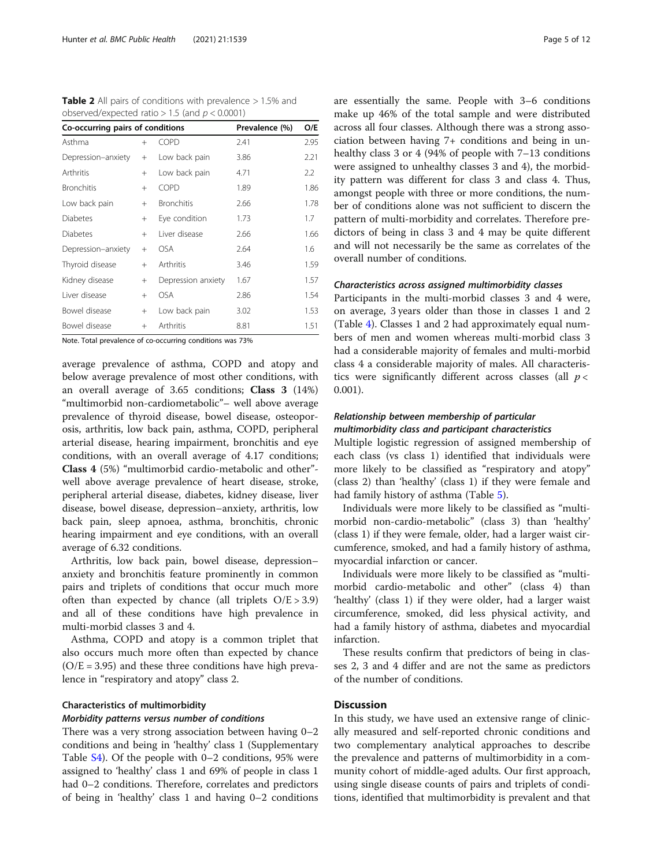<span id="page-6-0"></span>**Table 2** All pairs of conditions with prevalence  $> 1.5\%$  and observed/expected ratio  $> 1.5$  (and  $p < 0.0001$ )

| Co-occurring pairs of conditions<br>Prevalence (%) |        | O/E                                                                                                                                                                                                                                 |         |      |
|----------------------------------------------------|--------|-------------------------------------------------------------------------------------------------------------------------------------------------------------------------------------------------------------------------------------|---------|------|
| Asthma                                             | $^{+}$ | <b>COPD</b>                                                                                                                                                                                                                         | 2.41    | 2.95 |
| Depression-anxiety                                 | $^{+}$ | Low back pain                                                                                                                                                                                                                       | 3.86    | 2.21 |
| Arthritis                                          | $^{+}$ | Low back pain                                                                                                                                                                                                                       | 4.71    | 2.2  |
| <b>Bronchitis</b>                                  | $+$    | COPD                                                                                                                                                                                                                                | 1.89    | 1.86 |
| Low back pain                                      | $+$    | <b>Bronchitis</b>                                                                                                                                                                                                                   | 2.66    | 1.78 |
| <b>Diabetes</b>                                    | $^{+}$ | Eye condition                                                                                                                                                                                                                       | 1.73    | 1.7  |
| <b>Diabetes</b>                                    | $^{+}$ | Liver disease                                                                                                                                                                                                                       | 2.66    | 1.66 |
| Depression-anxiety                                 | $+$    | <b>OSA</b>                                                                                                                                                                                                                          | 2.64    | 1.6  |
| Thyroid disease                                    | $^{+}$ | Arthritis                                                                                                                                                                                                                           | 3.46    | 1.59 |
| Kidney disease                                     | $^{+}$ | Depression anxiety                                                                                                                                                                                                                  | 1.67    | 1.57 |
| Liver disease                                      | $^{+}$ | <b>OSA</b>                                                                                                                                                                                                                          | 2.86    | 1.54 |
| Bowel disease                                      | $+$    | Low back pain                                                                                                                                                                                                                       | 3.02    | 1.53 |
| Bowel disease                                      | $^{+}$ | Arthritis                                                                                                                                                                                                                           | 8.81    | 1.51 |
|                                                    |        | <b>Model of the contract of the contract of the contract of the contract of the contract of the contract of the contract of the contract of the contract of the contract of the contract of the contract of the contract of the</b> | $-7201$ |      |

Note. Total prevalence of co-occurring conditions was 73%

average prevalence of asthma, COPD and atopy and below average prevalence of most other conditions, with an overall average of 3.65 conditions; Class 3 (14%) "multimorbid non-cardiometabolic"– well above average prevalence of thyroid disease, bowel disease, osteoporosis, arthritis, low back pain, asthma, COPD, peripheral arterial disease, hearing impairment, bronchitis and eye conditions, with an overall average of 4.17 conditions; Class 4 (5%) "multimorbid cardio-metabolic and other" well above average prevalence of heart disease, stroke, peripheral arterial disease, diabetes, kidney disease, liver disease, bowel disease, depression–anxiety, arthritis, low back pain, sleep apnoea, asthma, bronchitis, chronic hearing impairment and eye conditions, with an overall average of 6.32 conditions.

Arthritis, low back pain, bowel disease, depression– anxiety and bronchitis feature prominently in common pairs and triplets of conditions that occur much more often than expected by chance (all triplets  $O/E > 3.9$ ) and all of these conditions have high prevalence in multi-morbid classes 3 and 4.

Asthma, COPD and atopy is a common triplet that also occurs much more often than expected by chance  $(O/E = 3.95)$  and these three conditions have high prevalence in "respiratory and atopy" class 2.

#### Characteristics of multimorbidity

#### Morbidity patterns versus number of conditions

There was a very strong association between having 0–2 conditions and being in 'healthy' class 1 (Supplementary Table [S4](#page-11-0)). Of the people with 0–2 conditions, 95% were assigned to 'healthy' class 1 and 69% of people in class 1 had 0–2 conditions. Therefore, correlates and predictors of being in 'healthy' class 1 and having 0–2 conditions are essentially the same. People with 3–6 conditions make up 46% of the total sample and were distributed across all four classes. Although there was a strong association between having 7+ conditions and being in unhealthy class 3 or 4 (94% of people with 7–13 conditions were assigned to unhealthy classes 3 and 4), the morbidity pattern was different for class 3 and class 4. Thus, amongst people with three or more conditions, the number of conditions alone was not sufficient to discern the pattern of multi-morbidity and correlates. Therefore predictors of being in class 3 and 4 may be quite different and will not necessarily be the same as correlates of the overall number of conditions.

#### Characteristics across assigned multimorbidity classes

Participants in the multi-morbid classes 3 and 4 were, on average, 3 years older than those in classes 1 and 2 (Table [4\)](#page-8-0). Classes 1 and 2 had approximately equal numbers of men and women whereas multi-morbid class 3 had a considerable majority of females and multi-morbid class 4 a considerable majority of males. All characteristics were significantly different across classes (all  $p <$ 0.001).

#### Relationship between membership of particular multimorbidity class and participant characteristics

Multiple logistic regression of assigned membership of each class (vs class 1) identified that individuals were more likely to be classified as "respiratory and atopy" (class 2) than 'healthy' (class 1) if they were female and had family history of asthma (Table [5\)](#page-9-0).

Individuals were more likely to be classified as "multimorbid non-cardio-metabolic" (class 3) than 'healthy' (class 1) if they were female, older, had a larger waist circumference, smoked, and had a family history of asthma, myocardial infarction or cancer.

Individuals were more likely to be classified as "multimorbid cardio-metabolic and other" (class 4) than 'healthy' (class 1) if they were older, had a larger waist circumference, smoked, did less physical activity, and had a family history of asthma, diabetes and myocardial infarction.

These results confirm that predictors of being in classes 2, 3 and 4 differ and are not the same as predictors of the number of conditions.

#### **Discussion**

In this study, we have used an extensive range of clinically measured and self-reported chronic conditions and two complementary analytical approaches to describe the prevalence and patterns of multimorbidity in a community cohort of middle-aged adults. Our first approach, using single disease counts of pairs and triplets of conditions, identified that multimorbidity is prevalent and that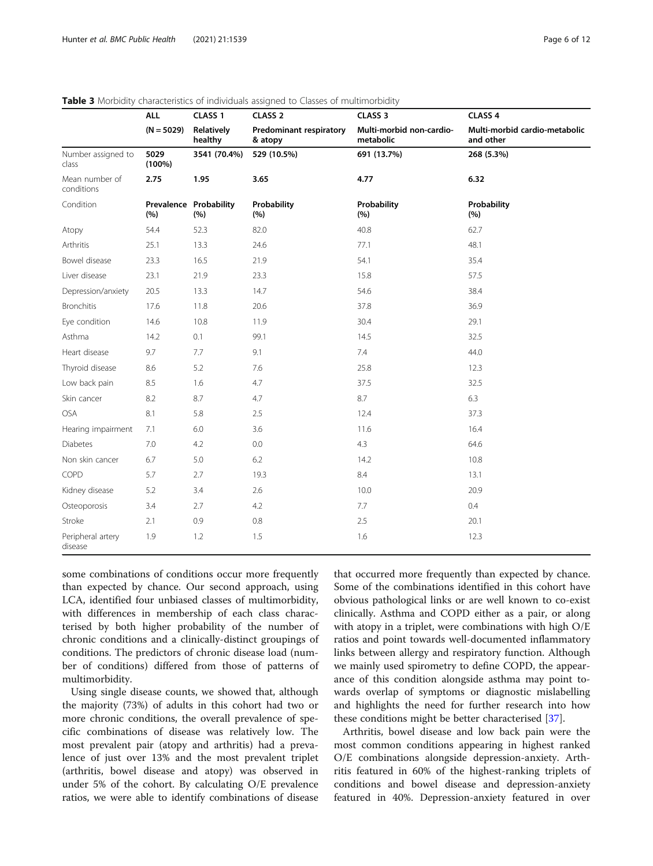|                              | <b>ALL</b>        | CLASS <sub>1</sub>            | CLASS <sub>2</sub>                        | CLASS <sub>3</sub>                    | CLASS 4                                    |
|------------------------------|-------------------|-------------------------------|-------------------------------------------|---------------------------------------|--------------------------------------------|
|                              | $(N = 5029)$      | Relatively<br>healthy         | <b>Predominant respiratory</b><br>& atopy | Multi-morbid non-cardio-<br>metabolic | Multi-morbid cardio-metabolic<br>and other |
| Number assigned to<br>class  | 5029<br>$(100\%)$ | 3541 (70.4%)                  | 529 (10.5%)                               | 691 (13.7%)                           | 268 (5.3%)                                 |
| Mean number of<br>conditions | 2.75              | 1.95                          | 3.65                                      | 4.77                                  | 6.32                                       |
| Condition                    | (%)               | Prevalence Probability<br>(%) | Probability<br>(%)                        | Probability<br>(%)                    | Probability<br>(%)                         |
| Atopy                        | 54.4              | 52.3                          | 82.0                                      | 40.8                                  | 62.7                                       |
| Arthritis                    | 25.1              | 13.3                          | 24.6                                      | 77.1                                  | 48.1                                       |
| Bowel disease                | 23.3              | 16.5                          | 21.9                                      | 54.1                                  | 35.4                                       |
| Liver disease                | 23.1              | 21.9                          | 23.3                                      | 15.8                                  | 57.5                                       |
| Depression/anxiety           | 20.5              | 13.3                          | 14.7                                      | 54.6                                  | 38.4                                       |
| <b>Bronchitis</b>            | 17.6              | 11.8                          | 20.6                                      | 37.8                                  | 36.9                                       |
| Eye condition                | 14.6              | 10.8                          | 11.9                                      | 30.4                                  | 29.1                                       |
| Asthma                       | 14.2              | 0.1                           | 99.1                                      | 14.5                                  | 32.5                                       |
| Heart disease                | 9.7               | 7.7                           | 9.1                                       | 7.4                                   | 44.0                                       |
| Thyroid disease              | 8.6               | 5.2                           | 7.6                                       | 25.8                                  | 12.3                                       |
| Low back pain                | 8.5               | 1.6                           | 4.7                                       | 37.5                                  | 32.5                                       |
| Skin cancer                  | 8.2               | 8.7                           | 4.7                                       | 8.7                                   | 6.3                                        |
| <b>OSA</b>                   | 8.1               | 5.8                           | 2.5                                       | 12.4                                  | 37.3                                       |
| Hearing impairment           | 7.1               | 6.0                           | 3.6                                       | 11.6                                  | 16.4                                       |
| <b>Diabetes</b>              | 7.0               | 4.2                           | 0.0                                       | 4.3                                   | 64.6                                       |
| Non skin cancer              | 6.7               | 5.0                           | 6.2                                       | 14.2                                  | 10.8                                       |
| COPD                         | 5.7               | 2.7                           | 19.3                                      | 8.4                                   | 13.1                                       |
| Kidney disease               | 5.2               | 3.4                           | 2.6                                       | 10.0                                  | 20.9                                       |
| Osteoporosis                 | 3.4               | 2.7                           | 4.2                                       | 7.7                                   | 0.4                                        |
| Stroke                       | 2.1               | 0.9                           | $0.8\,$                                   | 2.5                                   | 20.1                                       |
| Peripheral artery<br>disease | 1.9               | 1.2                           | 1.5                                       | 1.6                                   | 12.3                                       |

<span id="page-7-0"></span>

|  | Table 3 Morbidity characteristics of individuals assigned to Classes of multimorbidity |  |
|--|----------------------------------------------------------------------------------------|--|
|--|----------------------------------------------------------------------------------------|--|

some combinations of conditions occur more frequently than expected by chance. Our second approach, using LCA, identified four unbiased classes of multimorbidity, with differences in membership of each class characterised by both higher probability of the number of chronic conditions and a clinically-distinct groupings of conditions. The predictors of chronic disease load (number of conditions) differed from those of patterns of multimorbidity.

Using single disease counts, we showed that, although the majority (73%) of adults in this cohort had two or more chronic conditions, the overall prevalence of specific combinations of disease was relatively low. The most prevalent pair (atopy and arthritis) had a prevalence of just over 13% and the most prevalent triplet (arthritis, bowel disease and atopy) was observed in under 5% of the cohort. By calculating O/E prevalence ratios, we were able to identify combinations of disease

that occurred more frequently than expected by chance. Some of the combinations identified in this cohort have obvious pathological links or are well known to co-exist clinically. Asthma and COPD either as a pair, or along with atopy in a triplet, were combinations with high O/E ratios and point towards well-documented inflammatory links between allergy and respiratory function. Although we mainly used spirometry to define COPD, the appearance of this condition alongside asthma may point towards overlap of symptoms or diagnostic mislabelling and highlights the need for further research into how these conditions might be better characterised [\[37](#page-12-0)].

Arthritis, bowel disease and low back pain were the most common conditions appearing in highest ranked O/E combinations alongside depression-anxiety. Arthritis featured in 60% of the highest-ranking triplets of conditions and bowel disease and depression-anxiety featured in 40%. Depression-anxiety featured in over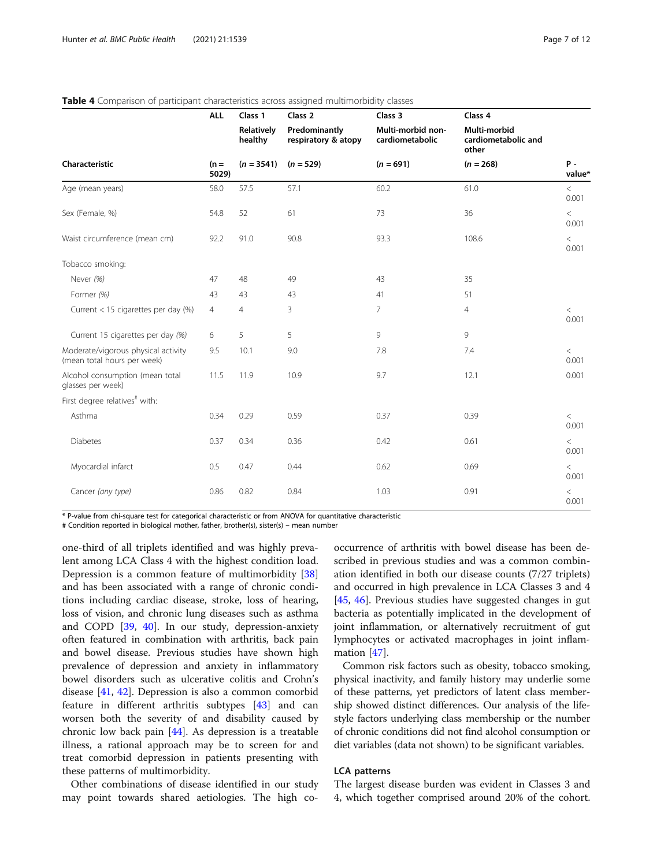|                                                                    | <b>ALL</b>      | Class 1               | Class <sub>2</sub>                   | Class 3                              | Class 4                                      |                 |
|--------------------------------------------------------------------|-----------------|-----------------------|--------------------------------------|--------------------------------------|----------------------------------------------|-----------------|
|                                                                    |                 | Relatively<br>healthy | Predominantly<br>respiratory & atopy | Multi-morbid non-<br>cardiometabolic | Multi-morbid<br>cardiometabolic and<br>other |                 |
| Characteristic                                                     | $(n =$<br>5029) | $(n = 3541)$          | $(n = 529)$                          | $(n = 691)$                          | $(n = 268)$                                  | $P -$<br>value* |
| Age (mean years)                                                   | 58.0            | 57.5                  | 57.1                                 | 60.2                                 | 61.0                                         | $\,<$<br>0.001  |
| Sex (Female, %)                                                    | 54.8            | 52                    | 61                                   | 73                                   | 36                                           | $\,<$<br>0.001  |
| Waist circumference (mean cm)                                      | 92.2            | 91.0                  | 90.8                                 | 93.3                                 | 108.6                                        | $\,<$<br>0.001  |
| Tobacco smoking:                                                   |                 |                       |                                      |                                      |                                              |                 |
| Never (%)                                                          | 47              | 48                    | 49                                   | 43                                   | 35                                           |                 |
| Former (%)                                                         | 43              | 43                    | 43                                   | 41                                   | 51                                           |                 |
| Current < 15 cigarettes per day (%)                                | $\overline{4}$  | $\overline{4}$        | 3                                    | $\overline{7}$                       | 4                                            | $\,<$<br>0.001  |
| Current 15 cigarettes per day (%)                                  | 6               | 5                     | 5                                    | 9                                    | 9                                            |                 |
| Moderate/vigorous physical activity<br>(mean total hours per week) | 9.5             | 10.1                  | 9.0                                  | 7.8                                  | 7.4                                          | $\lt$<br>0.001  |
| Alcohol consumption (mean total<br>glasses per week)               | 11.5            | 11.9                  | 10.9                                 | 9.7                                  | 12.1                                         | 0.001           |
| First degree relatives <sup>#</sup> with:                          |                 |                       |                                      |                                      |                                              |                 |
| Asthma                                                             | 0.34            | 0.29                  | 0.59                                 | 0.37                                 | 0.39                                         | $\,<$<br>0.001  |
| Diabetes                                                           | 0.37            | 0.34                  | 0.36                                 | 0.42                                 | 0.61                                         | $\,<$<br>0.001  |
| Myocardial infarct                                                 | 0.5             | 0.47                  | 0.44                                 | 0.62                                 | 0.69                                         | $\,<$<br>0.001  |
| Cancer (any type)                                                  | 0.86            | 0.82                  | 0.84                                 | 1.03                                 | 0.91                                         | $\,<$<br>0.001  |

#### <span id="page-8-0"></span>Table 4 Comparison of participant characteristics across assigned multimorbidity classes

\* P-value from chi-square test for categorical characteristic or from ANOVA for quantitative characteristic

# Condition reported in biological mother, father, brother(s), sister(s) – mean number

one-third of all triplets identified and was highly prevalent among LCA Class 4 with the highest condition load. Depression is a common feature of multimorbidity [[38](#page-12-0)] and has been associated with a range of chronic conditions including cardiac disease, stroke, loss of hearing, loss of vision, and chronic lung diseases such as asthma and COPD [[39,](#page-12-0) [40](#page-12-0)]. In our study, depression-anxiety often featured in combination with arthritis, back pain and bowel disease. Previous studies have shown high prevalence of depression and anxiety in inflammatory bowel disorders such as ulcerative colitis and Crohn's disease [[41,](#page-12-0) [42\]](#page-12-0). Depression is also a common comorbid feature in different arthritis subtypes [[43\]](#page-12-0) and can worsen both the severity of and disability caused by chronic low back pain [[44](#page-12-0)]. As depression is a treatable illness, a rational approach may be to screen for and treat comorbid depression in patients presenting with these patterns of multimorbidity.

Other combinations of disease identified in our study may point towards shared aetiologies. The high co-

occurrence of arthritis with bowel disease has been described in previous studies and was a common combination identified in both our disease counts (7/27 triplets) and occurred in high prevalence in LCA Classes 3 and 4 [[45,](#page-12-0) [46](#page-13-0)]. Previous studies have suggested changes in gut bacteria as potentially implicated in the development of joint inflammation, or alternatively recruitment of gut lymphocytes or activated macrophages in joint inflammation [[47\]](#page-13-0).

Common risk factors such as obesity, tobacco smoking, physical inactivity, and family history may underlie some of these patterns, yet predictors of latent class membership showed distinct differences. Our analysis of the lifestyle factors underlying class membership or the number of chronic conditions did not find alcohol consumption or diet variables (data not shown) to be significant variables.

#### LCA patterns

The largest disease burden was evident in Classes 3 and 4, which together comprised around 20% of the cohort.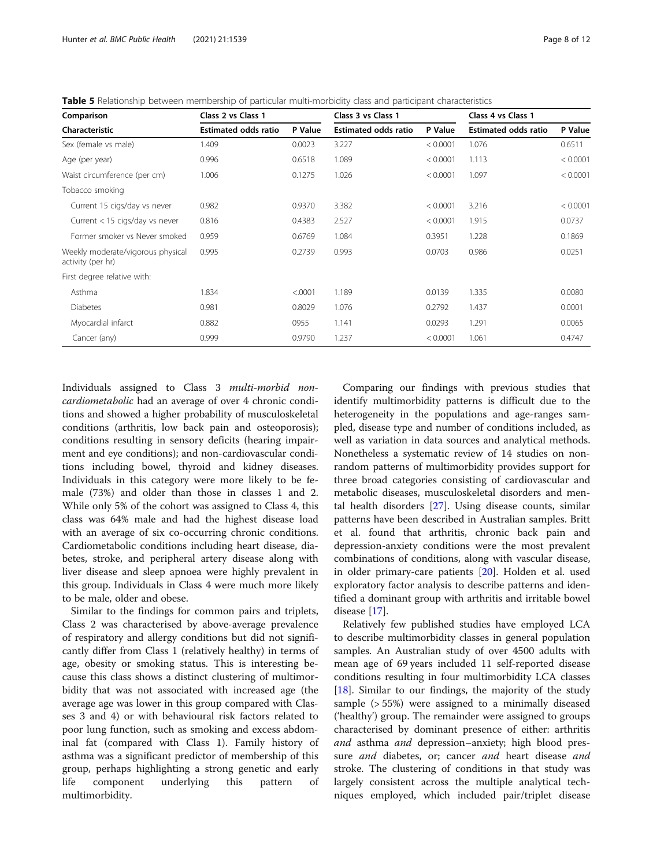<span id="page-9-0"></span>

| Comparison                                             | Class 2 vs Class 1          |         | Class 3 vs Class 1          |          | Class 4 vs Class 1          |          |
|--------------------------------------------------------|-----------------------------|---------|-----------------------------|----------|-----------------------------|----------|
| Characteristic                                         | <b>Estimated odds ratio</b> | P Value | <b>Estimated odds ratio</b> | P Value  | <b>Estimated odds ratio</b> | P Value  |
| Sex (female vs male)                                   | 1.409                       | 0.0023  | 3.227                       | < 0.0001 | 1.076                       | 0.6511   |
| Age (per year)                                         | 0.996                       | 0.6518  | 1.089                       | < 0.0001 | 1.113                       | < 0.0001 |
| Waist circumference (per cm)                           | 1.006                       | 0.1275  | 1.026                       | < 0.0001 | 1.097                       | < 0.0001 |
| Tobacco smoking                                        |                             |         |                             |          |                             |          |
| Current 15 cigs/day vs never                           | 0.982                       | 0.9370  | 3.382                       | < 0.0001 | 3.216                       | < 0.0001 |
| Current $<$ 15 cigs/day vs never                       | 0.816                       | 0.4383  | 2.527                       | < 0.0001 | 1.915                       | 0.0737   |
| Former smoker vs Never smoked                          | 0.959                       | 0.6769  | 1.084                       | 0.3951   | 1.228                       | 0.1869   |
| Weekly moderate/vigorous physical<br>activity (per hr) | 0.995                       | 0.2739  | 0.993                       | 0.0703   | 0.986                       | 0.0251   |
| First degree relative with:                            |                             |         |                             |          |                             |          |
| Asthma                                                 | 1.834                       | < .0001 | 1.189                       | 0.0139   | 1.335                       | 0.0080   |
| <b>Diabetes</b>                                        | 0.981                       | 0.8029  | 1.076                       | 0.2792   | 1.437                       | 0.0001   |
| Myocardial infarct                                     | 0.882                       | 0955    | 1.141                       | 0.0293   | 1.291                       | 0.0065   |
| Cancer (any)                                           | 0.999                       | 0.9790  | 1.237                       | < 0.0001 | 1.061                       | 0.4747   |

Individuals assigned to Class 3 multi-morbid noncardiometabolic had an average of over 4 chronic conditions and showed a higher probability of musculoskeletal conditions (arthritis, low back pain and osteoporosis); conditions resulting in sensory deficits (hearing impairment and eye conditions); and non-cardiovascular conditions including bowel, thyroid and kidney diseases. Individuals in this category were more likely to be female (73%) and older than those in classes 1 and 2. While only 5% of the cohort was assigned to Class 4, this class was 64% male and had the highest disease load with an average of six co-occurring chronic conditions. Cardiometabolic conditions including heart disease, diabetes, stroke, and peripheral artery disease along with liver disease and sleep apnoea were highly prevalent in this group. Individuals in Class 4 were much more likely to be male, older and obese.

Similar to the findings for common pairs and triplets, Class 2 was characterised by above-average prevalence of respiratory and allergy conditions but did not significantly differ from Class 1 (relatively healthy) in terms of age, obesity or smoking status. This is interesting because this class shows a distinct clustering of multimorbidity that was not associated with increased age (the average age was lower in this group compared with Classes 3 and 4) or with behavioural risk factors related to poor lung function, such as smoking and excess abdominal fat (compared with Class 1). Family history of asthma was a significant predictor of membership of this group, perhaps highlighting a strong genetic and early life component underlying this pattern of multimorbidity.

Comparing our findings with previous studies that identify multimorbidity patterns is difficult due to the heterogeneity in the populations and age-ranges sampled, disease type and number of conditions included, as well as variation in data sources and analytical methods. Nonetheless a systematic review of 14 studies on nonrandom patterns of multimorbidity provides support for three broad categories consisting of cardiovascular and metabolic diseases, musculoskeletal disorders and mental health disorders [\[27\]](#page-12-0). Using disease counts, similar patterns have been described in Australian samples. Britt et al. found that arthritis, chronic back pain and depression-anxiety conditions were the most prevalent combinations of conditions, along with vascular disease, in older primary-care patients [[20](#page-12-0)]. Holden et al. used exploratory factor analysis to describe patterns and identified a dominant group with arthritis and irritable bowel disease [\[17](#page-12-0)].

Relatively few published studies have employed LCA to describe multimorbidity classes in general population samples. An Australian study of over 4500 adults with mean age of 69 years included 11 self-reported disease conditions resulting in four multimorbidity LCA classes [[18\]](#page-12-0). Similar to our findings, the majority of the study sample (> 55%) were assigned to a minimally diseased ('healthy') group. The remainder were assigned to groups characterised by dominant presence of either: arthritis and asthma and depression–anxiety; high blood pressure *and* diabetes, or; cancer *and* heart disease *and* stroke. The clustering of conditions in that study was largely consistent across the multiple analytical techniques employed, which included pair/triplet disease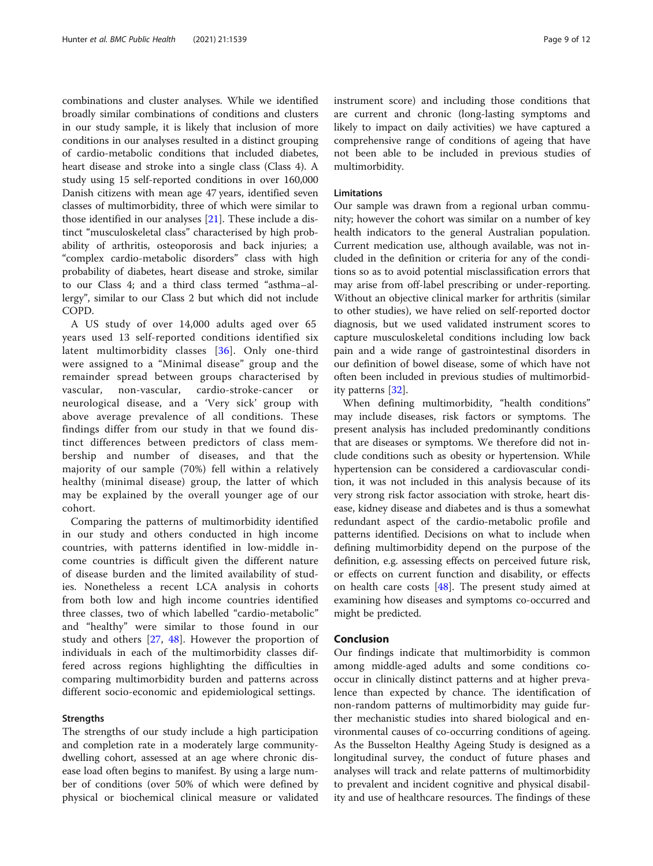combinations and cluster analyses. While we identified broadly similar combinations of conditions and clusters in our study sample, it is likely that inclusion of more conditions in our analyses resulted in a distinct grouping of cardio-metabolic conditions that included diabetes, heart disease and stroke into a single class (Class 4). A study using 15 self-reported conditions in over 160,000 Danish citizens with mean age 47 years, identified seven classes of multimorbidity, three of which were similar to those identified in our analyses [[21\]](#page-12-0). These include a distinct "musculoskeletal class" characterised by high probability of arthritis, osteoporosis and back injuries; a "complex cardio-metabolic disorders" class with high probability of diabetes, heart disease and stroke, similar to our Class 4; and a third class termed "asthma–allergy", similar to our Class 2 but which did not include COPD.

A US study of over 14,000 adults aged over 65 years used 13 self-reported conditions identified six latent multimorbidity classes [[36](#page-12-0)]. Only one-third were assigned to a "Minimal disease" group and the remainder spread between groups characterised by vascular, non-vascular, cardio-stroke-cancer or neurological disease, and a 'Very sick' group with above average prevalence of all conditions. These findings differ from our study in that we found distinct differences between predictors of class membership and number of diseases, and that the majority of our sample (70%) fell within a relatively healthy (minimal disease) group, the latter of which may be explained by the overall younger age of our cohort.

Comparing the patterns of multimorbidity identified in our study and others conducted in high income countries, with patterns identified in low-middle income countries is difficult given the different nature of disease burden and the limited availability of studies. Nonetheless a recent LCA analysis in cohorts from both low and high income countries identified three classes, two of which labelled "cardio-metabolic" and "healthy" were similar to those found in our study and others [[27,](#page-12-0) [48\]](#page-13-0). However the proportion of individuals in each of the multimorbidity classes differed across regions highlighting the difficulties in comparing multimorbidity burden and patterns across different socio-economic and epidemiological settings.

#### Strengths

The strengths of our study include a high participation and completion rate in a moderately large communitydwelling cohort, assessed at an age where chronic disease load often begins to manifest. By using a large number of conditions (over 50% of which were defined by physical or biochemical clinical measure or validated instrument score) and including those conditions that are current and chronic (long-lasting symptoms and likely to impact on daily activities) we have captured a comprehensive range of conditions of ageing that have not been able to be included in previous studies of multimorbidity.

#### Limitations

Our sample was drawn from a regional urban community; however the cohort was similar on a number of key health indicators to the general Australian population. Current medication use, although available, was not included in the definition or criteria for any of the conditions so as to avoid potential misclassification errors that may arise from off-label prescribing or under-reporting. Without an objective clinical marker for arthritis (similar to other studies), we have relied on self-reported doctor diagnosis, but we used validated instrument scores to capture musculoskeletal conditions including low back pain and a wide range of gastrointestinal disorders in our definition of bowel disease, some of which have not often been included in previous studies of multimorbidity patterns [\[32\]](#page-12-0).

When defining multimorbidity, "health conditions" may include diseases, risk factors or symptoms. The present analysis has included predominantly conditions that are diseases or symptoms. We therefore did not include conditions such as obesity or hypertension. While hypertension can be considered a cardiovascular condition, it was not included in this analysis because of its very strong risk factor association with stroke, heart disease, kidney disease and diabetes and is thus a somewhat redundant aspect of the cardio-metabolic profile and patterns identified. Decisions on what to include when defining multimorbidity depend on the purpose of the definition, e.g. assessing effects on perceived future risk, or effects on current function and disability, or effects on health care costs [\[48](#page-13-0)]. The present study aimed at examining how diseases and symptoms co-occurred and might be predicted.

#### Conclusion

Our findings indicate that multimorbidity is common among middle-aged adults and some conditions cooccur in clinically distinct patterns and at higher prevalence than expected by chance. The identification of non-random patterns of multimorbidity may guide further mechanistic studies into shared biological and environmental causes of co-occurring conditions of ageing. As the Busselton Healthy Ageing Study is designed as a longitudinal survey, the conduct of future phases and analyses will track and relate patterns of multimorbidity to prevalent and incident cognitive and physical disability and use of healthcare resources. The findings of these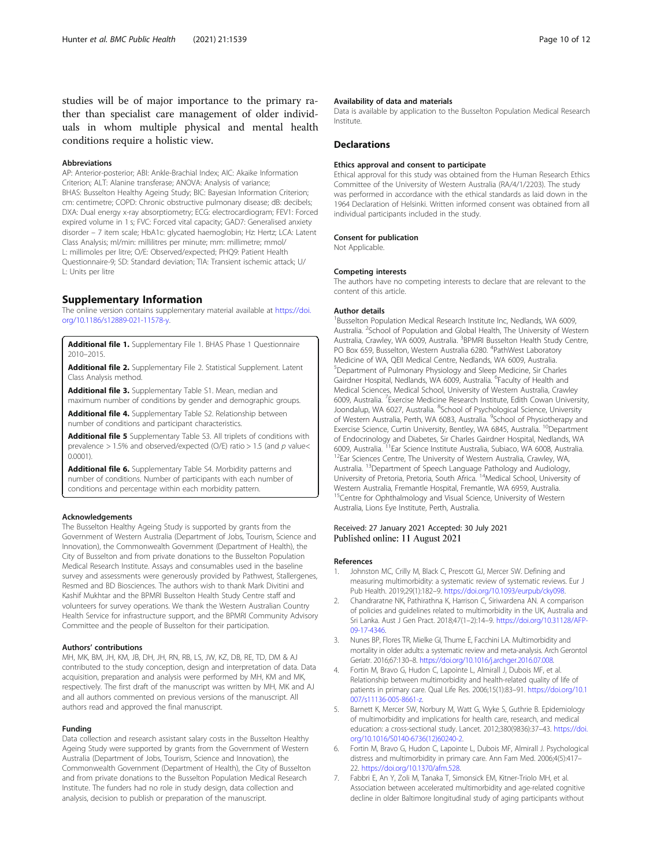#### <span id="page-11-0"></span>Abbreviations

AP: Anterior-posterior; ABI: Ankle-Brachial Index; AIC: Akaike Information Criterion; ALT: Alanine transferase; ANOVA: Analysis of variance; BHAS: Busselton Healthy Ageing Study; BIC: Bayesian Information Criterion; cm: centimetre; COPD: Chronic obstructive pulmonary disease; dB: decibels; DXA: Dual energy x-ray absorptiometry; ECG: electrocardiogram; FEV1: Forced expired volume in 1 s; FVC: Forced vital capacity; GAD7: Generalised anxiety disorder – 7 item scale; HbA1c: glycated haemoglobin; Hz: Hertz; LCA: Latent Class Analysis; ml/min: millilitres per minute; mm: millimetre; mmol/ L: millimoles per litre; O/E: Observed/expected; PHQ9: Patient Health Questionnaire-9; SD: Standard deviation; TIA: Transient ischemic attack; U/ L: Units per litre

#### Supplementary Information

The online version contains supplementary material available at [https://doi.](https://doi.org/10.1186/s12889-021-11578-y) [org/10.1186/s12889-021-11578-y](https://doi.org/10.1186/s12889-021-11578-y).

Additional file 1. Supplementary File 1. BHAS Phase 1 Questionnaire 2010–2015.

Additional file 2. Supplementary File 2. Statistical Supplement. Latent Class Analysis method.

Additional file 3. Supplementary Table S1. Mean, median and maximum number of conditions by gender and demographic groups.

Additional file 4. Supplementary Table S2. Relationship between

number of conditions and participant characteristics.

Additional file 5 Supplementary Table S3. All triplets of conditions with prevalence  $> 1.5\%$  and observed/expected (O/E) ratio  $> 1.5$  (and  $p$  value< 0.0001).

Additional file 6. Supplementary Table S4. Morbidity patterns and number of conditions. Number of participants with each number of conditions and percentage within each morbidity pattern.

#### Acknowledgements

The Busselton Healthy Ageing Study is supported by grants from the Government of Western Australia (Department of Jobs, Tourism, Science and Innovation), the Commonwealth Government (Department of Health), the City of Busselton and from private donations to the Busselton Population Medical Research Institute. Assays and consumables used in the baseline survey and assessments were generously provided by Pathwest, Stallergenes, Resmed and BD Biosciences. The authors wish to thank Mark Divitini and Kashif Mukhtar and the BPMRI Busselton Health Study Centre staff and volunteers for survey operations. We thank the Western Australian Country Health Service for infrastructure support, and the BPMRI Community Advisory Committee and the people of Busselton for their participation.

#### Authors' contributions

MH, MK, BM, JH, KM, JB, DH, JH, RN, RB, LS, JW, KZ, DB, RE, TD, DM & AJ contributed to the study conception, design and interpretation of data. Data acquisition, preparation and analysis were performed by MH, KM and MK, respectively. The first draft of the manuscript was written by MH, MK and AJ and all authors commented on previous versions of the manuscript. All authors read and approved the final manuscript.

#### Funding

Data collection and research assistant salary costs in the Busselton Healthy Ageing Study were supported by grants from the Government of Western Australia (Department of Jobs, Tourism, Science and Innovation), the Commonwealth Government (Department of Health), the City of Busselton and from private donations to the Busselton Population Medical Research Institute. The funders had no role in study design, data collection and analysis, decision to publish or preparation of the manuscript.

#### Availability of data and materials

Data is available by application to the Busselton Population Medical Research Institute.

#### Declarations

#### Ethics approval and consent to participate

Ethical approval for this study was obtained from the Human Research Ethics Committee of the University of Western Australia (RA/4/1/2203). The study was performed in accordance with the ethical standards as laid down in the 1964 Declaration of Helsinki. Written informed consent was obtained from all individual participants included in the study.

#### Consent for publication

Not Applicable.

#### Competing interests

The authors have no competing interests to declare that are relevant to the content of this article.

#### Author details

<sup>1</sup>Busselton Population Medical Research Institute Inc, Nedlands, WA 6009, Australia. <sup>2</sup>School of Population and Global Health, The University of Western Australia, Crawley, WA 6009, Australia. <sup>3</sup>BPMRI Busselton Health Study Centre, PO Box 659, Busselton, Western Australia 6280. <sup>4</sup>PathWest Laboratory Medicine of WA, QEII Medical Centre, Nedlands, WA 6009, Australia. 5 Department of Pulmonary Physiology and Sleep Medicine, Sir Charles Gairdner Hospital, Nedlands, WA 6009, Australia. <sup>6</sup>Faculty of Health and Medical Sciences, Medical School, University of Western Australia, Crawley 6009, Australia. <sup>7</sup> Exercise Medicine Research Institute, Edith Cowan University, Joondalup, WA 6027, Australia. <sup>8</sup>School of Psychological Science, University of Western Australia, Perth, WA 6083, Australia. <sup>9</sup>School of Physiotherapy and Exercise Science, Curtin University, Bentley, WA 6845, Australia. <sup>10</sup>Department of Endocrinology and Diabetes, Sir Charles Gairdner Hospital, Nedlands, WA 6009, Australia. <sup>11</sup>Ear Science Institute Australia, Subiaco, WA 6008, Australia.<br><sup>12</sup>Ear Sciences Centre, The University of Western Australia, Crawley, WA, Australia. 13Department of Speech Language Pathology and Audiology, University of Pretoria, Pretoria, South Africa. 14Medical School, University of Western Australia, Fremantle Hospital, Fremantle, WA 6959, Australia. <sup>15</sup>Centre for Ophthalmology and Visual Science, University of Western Australia, Lions Eye Institute, Perth, Australia.

#### Received: 27 January 2021 Accepted: 30 July 2021 Published online: 11 August 2021

#### References

- Johnston MC, Crilly M, Black C, Prescott GJ, Mercer SW. Defining and measuring multimorbidity: a systematic review of systematic reviews. Eur J Pub Health. 2019;29(1):182–9. [https://doi.org/10.1093/eurpub/cky098.](https://doi.org/10.1093/eurpub/cky098)
- 2. Chandraratne NK, Pathirathna K, Harrison C, Siriwardena AN. A comparison of policies and guidelines related to multimorbidity in the UK, Australia and Sri Lanka. Aust J Gen Pract. 2018;47(1–2):14–9. [https://doi.org/10.31128/AFP-](https://doi.org/10.31128/AFP-09-17-4346)[09-17-4346](https://doi.org/10.31128/AFP-09-17-4346).
- 3. Nunes BP, Flores TR, Mielke GI, Thume E, Facchini LA. Multimorbidity and mortality in older adults: a systematic review and meta-analysis. Arch Gerontol Geriatr. 2016;67:130–8. <https://doi.org/10.1016/j.archger.2016.07.008>.
- 4. Fortin M, Bravo G, Hudon C, Lapointe L, Almirall J, Dubois MF, et al. Relationship between multimorbidity and health-related quality of life of patients in primary care. Qual Life Res. 2006;15(1):83–91. [https://doi.org/10.1](https://doi.org/10.1007/s11136-005-8661-z) [007/s11136-005-8661-z](https://doi.org/10.1007/s11136-005-8661-z).
- Barnett K, Mercer SW, Norbury M, Watt G, Wyke S, Guthrie B. Epidemiology of multimorbidity and implications for health care, research, and medical education: a cross-sectional study. Lancet. 2012;380(9836):37–43. [https://doi.](https://doi.org/10.1016/S0140-6736(12)60240-2) [org/10.1016/S0140-6736\(12\)60240-2.](https://doi.org/10.1016/S0140-6736(12)60240-2)
- 6. Fortin M, Bravo G, Hudon C, Lapointe L, Dubois MF, Almirall J. Psychological distress and multimorbidity in primary care. Ann Fam Med. 2006;4(5):417– 22. <https://doi.org/10.1370/afm.528>.
- Fabbri E, An Y, Zoli M, Tanaka T, Simonsick EM, Kitner-Triolo MH, et al. Association between accelerated multimorbidity and age-related cognitive decline in older Baltimore longitudinal study of aging participants without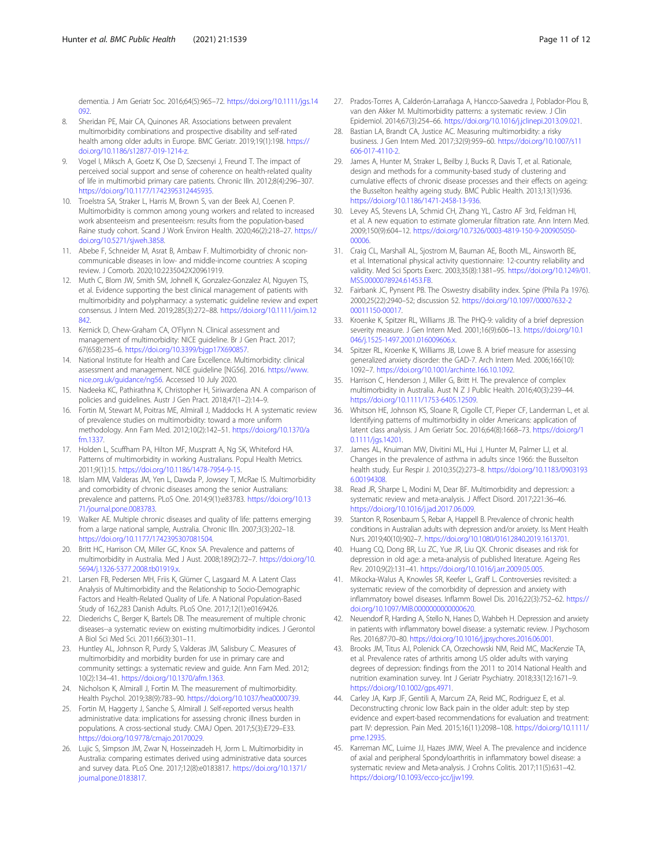<span id="page-12-0"></span>dementia. J Am Geriatr Soc. 2016;64(5):965–72. [https://doi.org/10.1111/jgs.14](https://doi.org/10.1111/jgs.14092) [092.](https://doi.org/10.1111/jgs.14092)

- 8. Sheridan PE, Mair CA, Quinones AR. Associations between prevalent multimorbidity combinations and prospective disability and self-rated health among older adults in Europe. BMC Geriatr. 2019;19(1):198. [https://](https://doi.org/10.1186/s12877-019-1214-z) [doi.org/10.1186/s12877-019-1214-z.](https://doi.org/10.1186/s12877-019-1214-z)
- Vogel I, Miksch A, Goetz K, Ose D, Szecsenyi J, Freund T. The impact of perceived social support and sense of coherence on health-related quality of life in multimorbid primary care patients. Chronic Illn. 2012;8(4):296–307. <https://doi.org/10.1177/1742395312445935>.
- 10. Troelstra SA, Straker L, Harris M, Brown S, van der Beek AJ, Coenen P. Multimorbidity is common among young workers and related to increased work absenteeism and presenteeism: results from the population-based Raine study cohort. Scand J Work Environ Health. 2020;46(2):218–27. [https://](https://doi.org/10.5271/sjweh.3858) [doi.org/10.5271/sjweh.3858](https://doi.org/10.5271/sjweh.3858).
- 11. Abebe F, Schneider M, Asrat B, Ambaw F. Multimorbidity of chronic noncommunicable diseases in low- and middle-income countries: A scoping review. J Comorb. 2020;10:2235042X20961919.
- 12. Muth C, Blom JW, Smith SM, Johnell K, Gonzalez-Gonzalez AI, Nguyen TS, et al. Evidence supporting the best clinical management of patients with multimorbidity and polypharmacy: a systematic guideline review and expert consensus. J Intern Med. 2019;285(3):272–88. [https://doi.org/10.1111/joim.12](https://doi.org/10.1111/joim.12842) [842.](https://doi.org/10.1111/joim.12842)
- 13. Kernick D, Chew-Graham CA, O'Flynn N. Clinical assessment and management of multimorbidity: NICE guideline. Br J Gen Pract. 2017; 67(658):235–6. [https://doi.org/10.3399/bjgp17X690857.](https://doi.org/10.3399/bjgp17X690857)
- 14. National Institute for Health and Care Excellence. Multimorbidity: clinical assessment and management. NICE guideline [NG56]. 2016. [https://www.](https://www.nice.org.uk/guidance/ng56) [nice.org.uk/guidance/ng56](https://www.nice.org.uk/guidance/ng56). Accessed 10 July 2020.
- 15. Nadeeka KC, Pathirathna K, Christopher H, Siriwardena AN. A comparison of policies and guidelines. Austr J Gen Pract. 2018;47(1–2):14–9.
- 16. Fortin M, Stewart M, Poitras ME, Almirall J, Maddocks H. A systematic review of prevalence studies on multimorbidity: toward a more uniform methodology. Ann Fam Med. 2012;10(2):142–51. [https://doi.org/10.1370/a](https://doi.org/10.1370/afm.1337) [fm.1337](https://doi.org/10.1370/afm.1337).
- 17. Holden L, Scuffham PA, Hilton MF, Muspratt A, Ng SK, Whiteford HA. Patterns of multimorbidity in working Australians. Popul Health Metrics. 2011;9(1):15. <https://doi.org/10.1186/1478-7954-9-15>.
- 18. Islam MM, Valderas JM, Yen L, Dawda P, Jowsey T, McRae IS. Multimorbidity and comorbidity of chronic diseases among the senior Australians: prevalence and patterns. PLoS One. 2014;9(1):e83783. [https://doi.org/10.13](https://doi.org/10.1371/journal.pone.0083783) [71/journal.pone.0083783.](https://doi.org/10.1371/journal.pone.0083783)
- 19. Walker AE. Multiple chronic diseases and quality of life: patterns emerging from a large national sample, Australia. Chronic Illn. 2007;3(3):202–18. <https://doi.org/10.1177/1742395307081504>.
- 20. Britt HC, Harrison CM, Miller GC, Knox SA. Prevalence and patterns of multimorbidity in Australia. Med J Aust. 2008;189(2):72–7. [https://doi.org/10.](https://doi.org/10.5694/j.1326-5377.2008.tb01919.x) [5694/j.1326-5377.2008.tb01919.x](https://doi.org/10.5694/j.1326-5377.2008.tb01919.x).
- 21. Larsen FB, Pedersen MH, Friis K, Glümer C, Lasgaard M. A Latent Class Analysis of Multimorbidity and the Relationship to Socio-Demographic Factors and Health-Related Quality of Life. A National Population-Based Study of 162,283 Danish Adults. PLoS One. 2017;12(1):e0169426.
- 22. Diederichs C, Berger K, Bartels DB. The measurement of multiple chronic diseases--a systematic review on existing multimorbidity indices. J Gerontol A Biol Sci Med Sci. 2011;66(3):301–11.
- 23. Huntley AL, Johnson R, Purdy S, Valderas JM, Salisbury C. Measures of multimorbidity and morbidity burden for use in primary care and community settings: a systematic review and guide. Ann Fam Med. 2012; 10(2):134–41. [https://doi.org/10.1370/afm.1363.](https://doi.org/10.1370/afm.1363)
- 24. Nicholson K, Almirall J, Fortin M. The measurement of multimorbidity. Health Psychol. 2019;38(9):783–90. <https://doi.org/10.1037/hea0000739>.
- 25. Fortin M, Haggerty J, Sanche S, Almirall J. Self-reported versus health administrative data: implications for assessing chronic illness burden in populations. A cross-sectional study. CMAJ Open. 2017;5(3):E729–E33. [https://doi.org/10.9778/cmajo.20170029.](https://doi.org/10.9778/cmajo.20170029)
- 26. Lujic S, Simpson JM, Zwar N, Hosseinzadeh H, Jorm L. Multimorbidity in Australia: comparing estimates derived using administrative data sources and survey data. PLoS One. 2017;12(8):e0183817. [https://doi.org/10.1371/](https://doi.org/10.1371/journal.pone.0183817) [journal.pone.0183817](https://doi.org/10.1371/journal.pone.0183817).
- 27. Prados-Torres A, Calderón-Larrañaga A, Hancco-Saavedra J, Poblador-Plou B, van den Akker M. Multimorbidity patterns: a systematic review. J Clin Epidemiol. 2014;67(3):254–66. [https://doi.org/10.1016/j.jclinepi.2013.09.021.](https://doi.org/10.1016/j.jclinepi.2013.09.021)
- 28. Bastian LA, Brandt CA, Justice AC. Measuring multimorbidity: a risky business. J Gen Intern Med. 2017;32(9):959–60. [https://doi.org/10.1007/s11](https://doi.org/10.1007/s11606-017-4110-2) [606-017-4110-2.](https://doi.org/10.1007/s11606-017-4110-2)
- 29. James A, Hunter M, Straker L, Beilby J, Bucks R, Davis T, et al. Rationale, design and methods for a community-based study of clustering and cumulative effects of chronic disease processes and their effects on ageing: the Busselton healthy ageing study. BMC Public Health. 2013;13(1):936. [https://doi.org/10.1186/1471-2458-13-936.](https://doi.org/10.1186/1471-2458-13-936)
- 30. Levey AS, Stevens LA, Schmid CH, Zhang YL, Castro AF 3rd, Feldman HI, et al. A new equation to estimate glomerular filtration rate. Ann Intern Med. 2009;150(9):604–12. [https://doi.org/10.7326/0003-4819-150-9-200905050-](https://doi.org/10.7326/0003-4819-150-9-200905050-00006) [00006.](https://doi.org/10.7326/0003-4819-150-9-200905050-00006)
- 31. Craig CL, Marshall AL, Sjostrom M, Bauman AE, Booth ML, Ainsworth BE, et al. International physical activity questionnaire: 12-country reliability and validity. Med Sci Sports Exerc. 2003;35(8):1381–95. [https://doi.org/10.1249/01.](https://doi.org/10.1249/01.MSS.0000078924.61453.FB) [MSS.0000078924.61453.FB](https://doi.org/10.1249/01.MSS.0000078924.61453.FB).
- 32. Fairbank JC, Pynsent PB. The Oswestry disability index. Spine (Phila Pa 1976). 2000;25(22):2940–52; discussion 52. [https://doi.org/10.1097/00007632-2](https://doi.org/10.1097/00007632-200011150-00017) [00011150-00017](https://doi.org/10.1097/00007632-200011150-00017).
- 33. Kroenke K, Spitzer RL, Williams JB. The PHQ-9: validity of a brief depression severity measure. J Gen Intern Med. 2001;16(9):606–13. [https://doi.org/10.1](https://doi.org/10.1046/j.1525-1497.2001.016009606.x) 046/i.1525-1497.2001.016009606.x.
- 34. Spitzer RL, Kroenke K, Williams JB, Lowe B. A brief measure for assessing generalized anxiety disorder: the GAD-7. Arch Intern Med. 2006;166(10): 1092–7. <https://doi.org/10.1001/archinte.166.10.1092>.
- 35. Harrison C, Henderson J, Miller G, Britt H. The prevalence of complex multimorbidity in Australia. Aust N Z J Public Health. 2016;40(3):239–44. [https://doi.org/10.1111/1753-6405.12509.](https://doi.org/10.1111/1753-6405.12509)
- 36. Whitson HE, Johnson KS, Sloane R, Cigolle CT, Pieper CF, Landerman L, et al. Identifying patterns of multimorbidity in older Americans: application of latent class analysis. J Am Geriatr Soc. 2016;64(8):1668–73. [https://doi.org/1](https://doi.org/10.1111/jgs.14201) [0.1111/jgs.14201.](https://doi.org/10.1111/jgs.14201)
- 37. James AL, Knuiman MW, Divitini ML, Hui J, Hunter M, Palmer LJ, et al. Changes in the prevalence of asthma in adults since 1966: the Busselton health study. Eur Respir J. 2010;35(2):273–8. [https://doi.org/10.1183/0903193](https://doi.org/10.1183/09031936.00194308) [6.00194308.](https://doi.org/10.1183/09031936.00194308)
- 38. Read JR, Sharpe L, Modini M, Dear BF. Multimorbidity and depression: a systematic review and meta-analysis. J Affect Disord. 2017;221:36–46. <https://doi.org/10.1016/j.jad.2017.06.009>.
- Stanton R, Rosenbaum S, Rebar A, Happell B. Prevalence of chronic health conditions in Australian adults with depression and/or anxiety. Iss Ment Health Nurs. 2019;40(10):902–7. [https://doi.org/10.1080/01612840.2019.1613701.](https://doi.org/10.1080/01612840.2019.1613701)
- 40. Huang CQ, Dong BR, Lu ZC, Yue JR, Liu QX. Chronic diseases and risk for depression in old age: a meta-analysis of published literature. Ageing Res Rev. 2010;9(2):131–41. <https://doi.org/10.1016/j.arr.2009.05.005>.
- 41. Mikocka-Walus A, Knowles SR, Keefer L, Graff L. Controversies revisited: a systematic review of the comorbidity of depression and anxiety with inflammatory bowel diseases. Inflamm Bowel Dis. 2016;22(3):752–62. [https://](https://doi.org/10.1097/MIB.0000000000000620) [doi.org/10.1097/MIB.0000000000000620.](https://doi.org/10.1097/MIB.0000000000000620)
- 42. Neuendorf R, Harding A, Stello N, Hanes D, Wahbeh H. Depression and anxiety in patients with inflammatory bowel disease: a systematic review. J Psychosom Res. 2016;87:70–80. [https://doi.org/10.1016/j.jpsychores.2016.06.001.](https://doi.org/10.1016/j.jpsychores.2016.06.001)
- 43. Brooks JM, Titus AJ, Polenick CA, Orzechowski NM, Reid MC, MacKenzie TA, et al. Prevalence rates of arthritis among US older adults with varying degrees of depression: findings from the 2011 to 2014 National Health and nutrition examination survey. Int J Geriatr Psychiatry. 2018;33(12):1671–9. <https://doi.org/10.1002/gps.4971>.
- 44. Carley JA, Karp JF, Gentili A, Marcum ZA, Reid MC, Rodriguez E, et al. Deconstructing chronic low Back pain in the older adult: step by step evidence and expert-based recommendations for evaluation and treatment: part IV: depression. Pain Med. 2015;16(11):2098–108. [https://doi.org/10.1111/](https://doi.org/10.1111/pme.12935) [pme.12935](https://doi.org/10.1111/pme.12935).
- 45. Karreman MC, Luime JJ, Hazes JMW, Weel A. The prevalence and incidence of axial and peripheral Spondyloarthritis in inflammatory bowel disease: a systematic review and Meta-analysis. J Crohns Colitis. 2017;11(5):631–42. [https://doi.org/10.1093/ecco-jcc/jjw199.](https://doi.org/10.1093/ecco-jcc/jjw199)